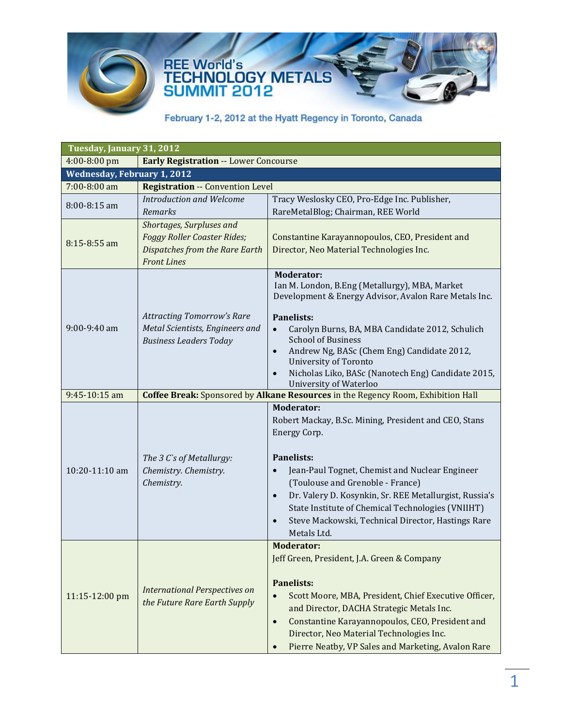

| Tuesday, January 31, 2012                                    |                                         |                                                                                                         |
|--------------------------------------------------------------|-----------------------------------------|---------------------------------------------------------------------------------------------------------|
| 4:00-8:00 pm<br><b>Early Registration -- Lower Concourse</b> |                                         |                                                                                                         |
| <b>Wednesday, February 1, 2012</b>                           |                                         |                                                                                                         |
| 7:00-8:00 am                                                 | <b>Registration -- Convention Level</b> |                                                                                                         |
| $8:00 - 8:15$ am                                             | <b>Introduction and Welcome</b>         | Tracy Weslosky CEO, Pro-Edge Inc. Publisher,                                                            |
|                                                              | Remarks                                 | RareMetalBlog; Chairman, REE World                                                                      |
|                                                              | Shortages, Surpluses and                |                                                                                                         |
| $8:15 - 8:55$ am                                             | Foggy Roller Coaster Rides;             | Constantine Karayannopoulos, CEO, President and                                                         |
|                                                              | Dispatches from the Rare Earth          | Director, Neo Material Technologies Inc.                                                                |
|                                                              | <b>Front Lines</b>                      |                                                                                                         |
|                                                              |                                         | <b>Moderator:</b>                                                                                       |
|                                                              |                                         | Ian M. London, B.Eng (Metallurgy), MBA, Market<br>Development & Energy Advisor, Avalon Rare Metals Inc. |
|                                                              |                                         |                                                                                                         |
|                                                              | <b>Attracting Tomorrow's Rare</b>       | <b>Panelists:</b>                                                                                       |
| $9:00-9:40$ am                                               | Metal Scientists, Engineers and         | Carolyn Burns, BA, MBA Candidate 2012, Schulich<br>$\bullet$                                            |
|                                                              | <b>Business Leaders Today</b>           | <b>School of Business</b>                                                                               |
|                                                              |                                         | Andrew Ng, BASc (Chem Eng) Candidate 2012,<br>$\bullet$<br><b>University of Toronto</b>                 |
|                                                              |                                         | Nicholas Liko, BASc (Nanotech Eng) Candidate 2015,<br>$\bullet$                                         |
|                                                              |                                         | <b>University of Waterloo</b>                                                                           |
| 9:45-10:15 am                                                |                                         | Coffee Break: Sponsored by Alkane Resources in the Regency Room, Exhibition Hall                        |
|                                                              |                                         | <b>Moderator:</b>                                                                                       |
|                                                              |                                         | Robert Mackay, B.Sc. Mining, President and CEO, Stans                                                   |
|                                                              |                                         | Energy Corp.                                                                                            |
|                                                              |                                         |                                                                                                         |
|                                                              | The 3 C's of Metallurgy:                | <b>Panelists:</b>                                                                                       |
| 10:20-11:10 am                                               | Chemistry. Chemistry.                   | Jean-Paul Tognet, Chemist and Nuclear Engineer<br>$\bullet$                                             |
|                                                              | Chemistry.                              | (Toulouse and Grenoble - France)                                                                        |
|                                                              |                                         | Dr. Valery D. Kosynkin, Sr. REE Metallurgist, Russia's<br>$\bullet$                                     |
|                                                              |                                         | State Institute of Chemical Technologies (VNIIHT)                                                       |
|                                                              |                                         | Steve Mackowski, Technical Director, Hastings Rare<br>$\bullet$                                         |
|                                                              |                                         | Metals Ltd.<br><b>Moderator:</b>                                                                        |
| 11:15-12:00 pm                                               |                                         | Jeff Green, President, J.A. Green & Company                                                             |
|                                                              |                                         |                                                                                                         |
|                                                              |                                         | <b>Panelists:</b>                                                                                       |
|                                                              | <b>International Perspectives on</b>    | Scott Moore, MBA, President, Chief Executive Officer,<br>$\bullet$                                      |
|                                                              | the Future Rare Earth Supply            | and Director, DACHA Strategic Metals Inc.                                                               |
|                                                              |                                         | Constantine Karayannopoulos, CEO, President and<br>$\bullet$                                            |
|                                                              |                                         | Director, Neo Material Technologies Inc.                                                                |
|                                                              |                                         | Pierre Neatby, VP Sales and Marketing, Avalon Rare<br>$\bullet$                                         |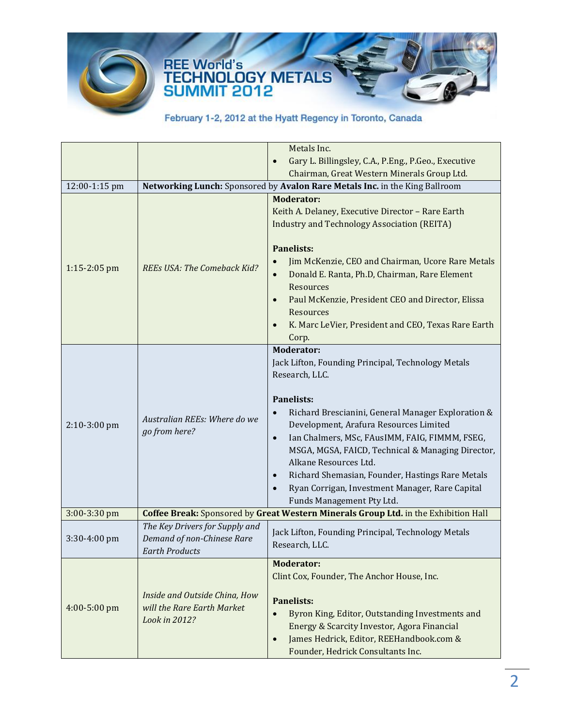

# REE World's<br>TECHNOLOGY METALS<br>SUMMIT 2012

|                |                                                                                       | Metals Inc.                                                                                                                                                                                                                                                                                                                                                                                                                                                                                                                            |
|----------------|---------------------------------------------------------------------------------------|----------------------------------------------------------------------------------------------------------------------------------------------------------------------------------------------------------------------------------------------------------------------------------------------------------------------------------------------------------------------------------------------------------------------------------------------------------------------------------------------------------------------------------------|
|                |                                                                                       | Gary L. Billingsley, C.A., P.Eng., P.Geo., Executive<br>$\bullet$                                                                                                                                                                                                                                                                                                                                                                                                                                                                      |
|                |                                                                                       | Chairman, Great Western Minerals Group Ltd.                                                                                                                                                                                                                                                                                                                                                                                                                                                                                            |
| 12:00-1:15 pm  |                                                                                       | Networking Lunch: Sponsored by Avalon Rare Metals Inc. in the King Ballroom                                                                                                                                                                                                                                                                                                                                                                                                                                                            |
| 1:15-2:05 pm   | <b>REEs USA: The Comeback Kid?</b>                                                    | <b>Moderator:</b><br>Keith A. Delaney, Executive Director - Rare Earth<br><b>Industry and Technology Association (REITA)</b><br><b>Panelists:</b><br>Jim McKenzie, CEO and Chairman, Ucore Rare Metals<br>$\bullet$<br>Donald E. Ranta, Ph.D, Chairman, Rare Element<br>$\bullet$<br>Resources<br>Paul McKenzie, President CEO and Director, Elissa<br>$\bullet$<br>Resources<br>K. Marc LeVier, President and CEO, Texas Rare Earth<br>Corp.                                                                                          |
| $2:10-3:00$ pm | Australian REEs: Where do we<br>go from here?                                         | <b>Moderator:</b><br>Jack Lifton, Founding Principal, Technology Metals<br>Research, LLC.<br><b>Panelists:</b><br>Richard Brescianini, General Manager Exploration &<br>$\bullet$<br>Development, Arafura Resources Limited<br>Ian Chalmers, MSc, FAusIMM, FAIG, FIMMM, FSEG,<br>$\bullet$<br>MSGA, MGSA, FAICD, Technical & Managing Director,<br>Alkane Resources Ltd.<br>Richard Shemasian, Founder, Hastings Rare Metals<br>$\bullet$<br>Ryan Corrigan, Investment Manager, Rare Capital<br>$\bullet$<br>Funds Management Pty Ltd. |
| 3:00-3:30 pm   |                                                                                       | Coffee Break: Sponsored by Great Western Minerals Group Ltd. in the Exhibition Hall                                                                                                                                                                                                                                                                                                                                                                                                                                                    |
| 3:30-4:00 pm   | The Key Drivers for Supply and<br>Demand of non-Chinese Rare<br><b>Earth Products</b> | Jack Lifton, Founding Principal, Technology Metals<br>Research, LLC.                                                                                                                                                                                                                                                                                                                                                                                                                                                                   |
| 4:00-5:00 pm   | Inside and Outside China, How<br>will the Rare Earth Market<br>Look in 2012?          | <b>Moderator:</b><br>Clint Cox, Founder, The Anchor House, Inc.<br><b>Panelists:</b><br>Byron King, Editor, Outstanding Investments and<br>$\bullet$<br>Energy & Scarcity Investor, Agora Financial<br>James Hedrick, Editor, REEHandbook.com &<br>$\bullet$<br>Founder, Hedrick Consultants Inc.                                                                                                                                                                                                                                      |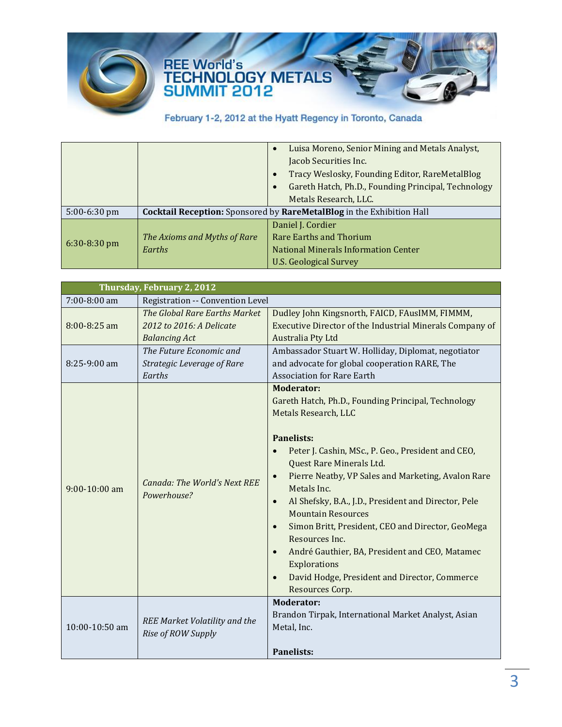

## REE World's<br>TECHNOLOGY METALS<br>SUMMIT 2012

|                |                                                                       | Luisa Moreno, Senior Mining and Metals Analyst,<br>$\bullet$<br>Jacob Securities Inc.<br>Tracy Weslosky, Founding Editor, RareMetalBlog<br>$\bullet$<br>Gareth Hatch, Ph.D., Founding Principal, Technology<br>Metals Research, LLC. |
|----------------|-----------------------------------------------------------------------|--------------------------------------------------------------------------------------------------------------------------------------------------------------------------------------------------------------------------------------|
| $5:00-6:30$ pm | Cocktail Reception: Sponsored by RareMetalBlog in the Exhibition Hall |                                                                                                                                                                                                                                      |
| $6:30-8:30$ pm | The Axioms and Myths of Rare<br>Earths                                | Daniel J. Cordier<br>Rare Earths and Thorium<br>National Minerals Information Center<br><b>U.S. Geological Survey</b>                                                                                                                |

| Thursday, February 2, 2012 |                                                                                   |                                                                                                                                                                                                                                                                                                                                                                                                                                                                                                                                                                                                                                                              |
|----------------------------|-----------------------------------------------------------------------------------|--------------------------------------------------------------------------------------------------------------------------------------------------------------------------------------------------------------------------------------------------------------------------------------------------------------------------------------------------------------------------------------------------------------------------------------------------------------------------------------------------------------------------------------------------------------------------------------------------------------------------------------------------------------|
| 7:00-8:00 am               | Registration -- Convention Level                                                  |                                                                                                                                                                                                                                                                                                                                                                                                                                                                                                                                                                                                                                                              |
| 8:00-8:25 am               | The Global Rare Earths Market<br>2012 to 2016: A Delicate<br><b>Balancing Act</b> | Dudley John Kingsnorth, FAICD, FAusIMM, FIMMM,<br>Executive Director of the Industrial Minerals Company of<br>Australia Pty Ltd                                                                                                                                                                                                                                                                                                                                                                                                                                                                                                                              |
| $8:25-9:00$ am             | The Future Economic and<br>Strategic Leverage of Rare<br>Earths                   | Ambassador Stuart W. Holliday, Diplomat, negotiator<br>and advocate for global cooperation RARE, The<br><b>Association for Rare Earth</b>                                                                                                                                                                                                                                                                                                                                                                                                                                                                                                                    |
| $9:00-10:00$ am            | <b>Canada: The World's Next REE</b><br>Powerhouse?                                | <b>Moderator:</b><br>Gareth Hatch, Ph.D., Founding Principal, Technology<br>Metals Research, LLC<br><b>Panelists:</b><br>Peter J. Cashin, MSc., P. Geo., President and CEO,<br>$\bullet$<br>Quest Rare Minerals Ltd.<br>Pierre Neatby, VP Sales and Marketing, Avalon Rare<br>$\bullet$<br>Metals Inc.<br>Al Shefsky, B.A., J.D., President and Director, Pele<br>$\bullet$<br><b>Mountain Resources</b><br>Simon Britt, President, CEO and Director, GeoMega<br>$\bullet$<br>Resources Inc.<br>André Gauthier, BA, President and CEO, Matamec<br>$\bullet$<br>Explorations<br>David Hodge, President and Director, Commerce<br>$\bullet$<br>Resources Corp. |
| 10:00-10:50 am             | <b>REE Market Volatility and the</b><br>Rise of ROW Supply                        | <b>Moderator:</b><br>Brandon Tirpak, International Market Analyst, Asian<br>Metal, Inc.<br><b>Panelists:</b>                                                                                                                                                                                                                                                                                                                                                                                                                                                                                                                                                 |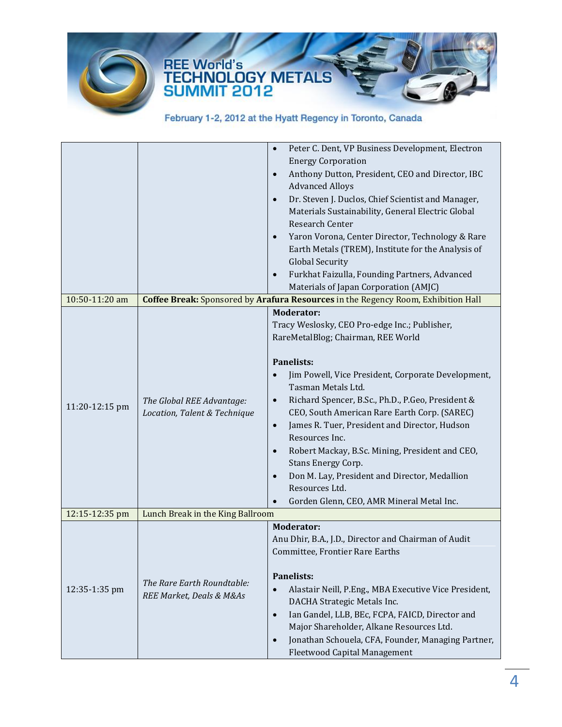

|                |                                                        | Peter C. Dent, VP Business Development, Electron<br>$\bullet$                     |
|----------------|--------------------------------------------------------|-----------------------------------------------------------------------------------|
|                |                                                        | <b>Energy Corporation</b>                                                         |
|                |                                                        | Anthony Dutton, President, CEO and Director, IBC<br>$\bullet$                     |
|                |                                                        | <b>Advanced Alloys</b>                                                            |
|                |                                                        | Dr. Steven J. Duclos, Chief Scientist and Manager,<br>$\bullet$                   |
|                |                                                        | Materials Sustainability, General Electric Global                                 |
|                |                                                        | Research Center                                                                   |
|                |                                                        | Yaron Vorona, Center Director, Technology & Rare<br>$\bullet$                     |
|                |                                                        | Earth Metals (TREM), Institute for the Analysis of                                |
|                |                                                        | <b>Global Security</b>                                                            |
|                |                                                        | Furkhat Faizulla, Founding Partners, Advanced<br>$\bullet$                        |
|                |                                                        | Materials of Japan Corporation (AMJC)                                             |
| 10:50-11:20 am |                                                        | Coffee Break: Sponsored by Arafura Resources in the Regency Room, Exhibition Hall |
|                |                                                        | <b>Moderator:</b>                                                                 |
|                |                                                        | Tracy Weslosky, CEO Pro-edge Inc.; Publisher,                                     |
|                |                                                        | RareMetalBlog; Chairman, REE World                                                |
|                |                                                        |                                                                                   |
|                |                                                        | <b>Panelists:</b>                                                                 |
|                |                                                        | Jim Powell, Vice President, Corporate Development,<br>$\bullet$                   |
|                |                                                        | Tasman Metals Ltd.                                                                |
|                | The Global REE Advantage:                              | Richard Spencer, B.Sc., Ph.D., P.Geo, President &<br>$\bullet$                    |
| 11:20-12:15 pm | Location, Talent & Technique                           | CEO, South American Rare Earth Corp. (SAREC)                                      |
|                |                                                        | James R. Tuer, President and Director, Hudson<br>$\bullet$                        |
|                |                                                        | Resources Inc.                                                                    |
|                |                                                        | Robert Mackay, B.Sc. Mining, President and CEO,<br>$\bullet$                      |
|                |                                                        | Stans Energy Corp.                                                                |
|                |                                                        | Don M. Lay, President and Director, Medallion<br>$\bullet$                        |
|                |                                                        | Resources Ltd.                                                                    |
|                |                                                        | Gorden Glenn, CEO, AMR Mineral Metal Inc.<br>$\bullet$                            |
| 12:15-12:35 pm | Lunch Break in the King Ballroom                       |                                                                                   |
|                |                                                        | <b>Moderator:</b>                                                                 |
| 12:35-1:35 pm  | The Rare Earth Roundtable:<br>REE Market, Deals & M&As | Anu Dhir, B.A., J.D., Director and Chairman of Audit                              |
|                |                                                        | Committee, Frontier Rare Earths                                                   |
|                |                                                        |                                                                                   |
|                |                                                        | Panelists:                                                                        |
|                |                                                        | Alastair Neill, P.Eng., MBA Executive Vice President,<br>$\bullet$                |
|                |                                                        | DACHA Strategic Metals Inc.                                                       |
|                |                                                        | Ian Gandel, LLB, BEc, FCPA, FAICD, Director and<br>$\bullet$                      |
|                |                                                        | Major Shareholder, Alkane Resources Ltd.                                          |
|                |                                                        |                                                                                   |
|                |                                                        | Jonathan Schouela, CFA, Founder, Managing Partner,<br>$\bullet$                   |
|                |                                                        | Fleetwood Capital Management                                                      |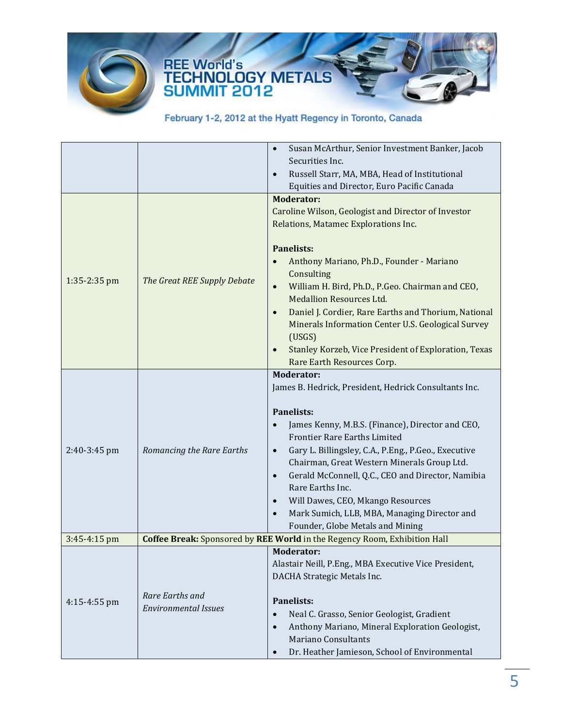

## REE World's<br>TECHNOLOGY METALS<br>SUMMIT 2012

|              |                                                                           | Susan McArthur, Senior Investment Banker, Jacob<br>$\bullet$      |
|--------------|---------------------------------------------------------------------------|-------------------------------------------------------------------|
|              |                                                                           | Securities Inc.                                                   |
|              |                                                                           | Russell Starr, MA, MBA, Head of Institutional<br>$\bullet$        |
|              |                                                                           | Equities and Director, Euro Pacific Canada                        |
|              |                                                                           | <b>Moderator:</b>                                                 |
|              |                                                                           | Caroline Wilson, Geologist and Director of Investor               |
|              |                                                                           | Relations, Matamec Explorations Inc.                              |
|              |                                                                           |                                                                   |
|              |                                                                           | <b>Panelists:</b>                                                 |
|              |                                                                           | Anthony Mariano, Ph.D., Founder - Mariano<br>$\bullet$            |
|              |                                                                           | Consulting                                                        |
| 1:35-2:35 pm | The Great REE Supply Debate                                               | William H. Bird, Ph.D., P.Geo. Chairman and CEO,<br>$\bullet$     |
|              |                                                                           | <b>Medallion Resources Ltd.</b>                                   |
|              |                                                                           | Daniel J. Cordier, Rare Earths and Thorium, National<br>$\bullet$ |
|              |                                                                           | Minerals Information Center U.S. Geological Survey                |
|              |                                                                           | (USGS)                                                            |
|              |                                                                           | Stanley Korzeb, Vice President of Exploration, Texas<br>$\bullet$ |
|              |                                                                           | Rare Earth Resources Corp.                                        |
|              |                                                                           | <b>Moderator:</b>                                                 |
|              |                                                                           | James B. Hedrick, President, Hedrick Consultants Inc.             |
|              |                                                                           |                                                                   |
|              | Romancing the Rare Earths                                                 | <b>Panelists:</b>                                                 |
|              |                                                                           | James Kenny, M.B.S. (Finance), Director and CEO,<br>$\bullet$     |
|              |                                                                           | Frontier Rare Earths Limited                                      |
| 2:40-3:45 pm |                                                                           | Gary L. Billingsley, C.A., P.Eng., P.Geo., Executive<br>$\bullet$ |
|              |                                                                           | Chairman, Great Western Minerals Group Ltd.                       |
|              |                                                                           | Gerald McConnell, Q.C., CEO and Director, Namibia<br>$\bullet$    |
|              |                                                                           | Rare Earths Inc.                                                  |
|              |                                                                           | Will Dawes, CEO, Mkango Resources<br>$\bullet$                    |
|              |                                                                           | Mark Sumich, LLB, MBA, Managing Director and<br>$\bullet$         |
|              |                                                                           | Founder, Globe Metals and Mining                                  |
| 3:45-4:15 pm | Coffee Break: Sponsored by REE World in the Regency Room, Exhibition Hall |                                                                   |
| 4:15-4:55 pm |                                                                           | <b>Moderator:</b>                                                 |
|              |                                                                           | Alastair Neill, P.Eng., MBA Executive Vice President,             |
|              |                                                                           | DACHA Strategic Metals Inc.                                       |
|              | Rare Earths and                                                           |                                                                   |
|              | <b>Environmental Issues</b>                                               | <b>Panelists:</b>                                                 |
|              |                                                                           | Neal C. Grasso, Senior Geologist, Gradient<br>$\bullet$           |
|              |                                                                           | Anthony Mariano, Mineral Exploration Geologist,<br>$\bullet$      |
|              |                                                                           | <b>Mariano Consultants</b>                                        |
|              |                                                                           | Dr. Heather Jamieson, School of Environmental<br>$\bullet$        |